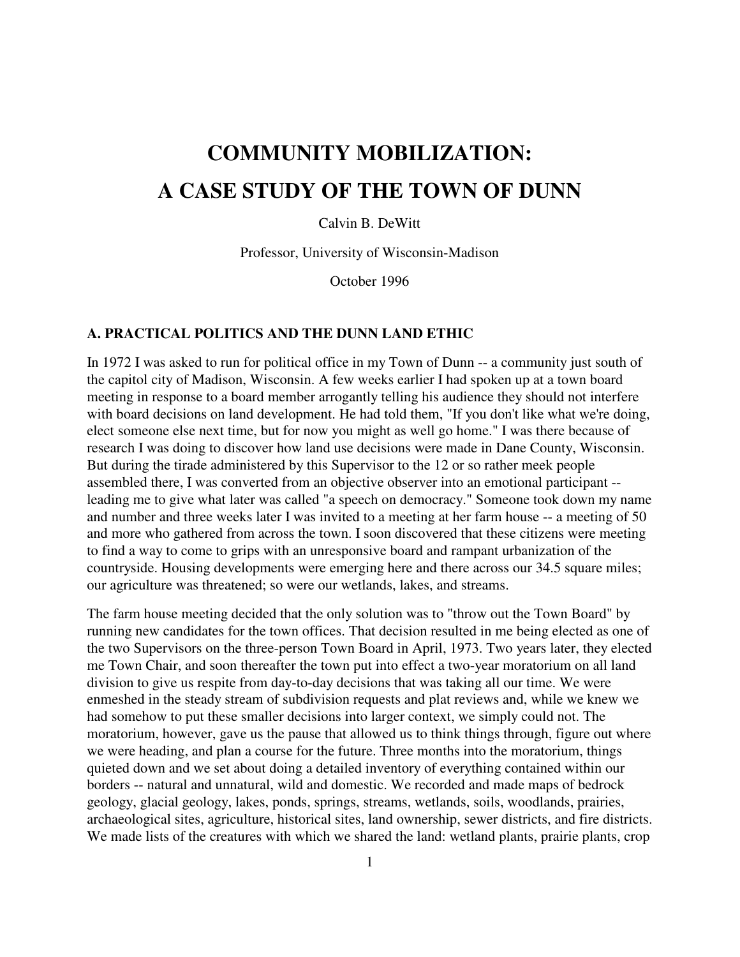# **COMMUNITY MOBILIZATION: A CASE STUDY OF THE TOWN OF DUNN**

#### Calvin B. DeWitt

Professor, University of Wisconsin-Madison

October 1996

## **A. PRACTICAL POLITICS AND THE DUNN LAND ETHIC**

In 1972 I was asked to run for political office in my Town of Dunn -- a community just south of the capitol city of Madison, Wisconsin. A few weeks earlier I had spoken up at a town board meeting in response to a board member arrogantly telling his audience they should not interfere with board decisions on land development. He had told them, "If you don't like what we're doing, elect someone else next time, but for now you might as well go home." I was there because of research I was doing to discover how land use decisions were made in Dane County, Wisconsin. But during the tirade administered by this Supervisor to the 12 or so rather meek people assembled there, I was converted from an objective observer into an emotional participant - leading me to give what later was called "a speech on democracy." Someone took down my name and number and three weeks later I was invited to a meeting at her farm house -- a meeting of 50 and more who gathered from across the town. I soon discovered that these citizens were meeting to find a way to come to grips with an unresponsive board and rampant urbanization of the countryside. Housing developments were emerging here and there across our 34.5 square miles; our agriculture was threatened; so were our wetlands, lakes, and streams.

The farm house meeting decided that the only solution was to "throw out the Town Board" by running new candidates for the town offices. That decision resulted in me being elected as one of the two Supervisors on the three-person Town Board in April, 1973. Two years later, they elected me Town Chair, and soon thereafter the town put into effect a two-year moratorium on all land division to give us respite from day-to-day decisions that was taking all our time. We were enmeshed in the steady stream of subdivision requests and plat reviews and, while we knew we had somehow to put these smaller decisions into larger context, we simply could not. The moratorium, however, gave us the pause that allowed us to think things through, figure out where we were heading, and plan a course for the future. Three months into the moratorium, things quieted down and we set about doing a detailed inventory of everything contained within our borders -- natural and unnatural, wild and domestic. We recorded and made maps of bedrock geology, glacial geology, lakes, ponds, springs, streams, wetlands, soils, woodlands, prairies, archaeological sites, agriculture, historical sites, land ownership, sewer districts, and fire districts. We made lists of the creatures with which we shared the land: wetland plants, prairie plants, crop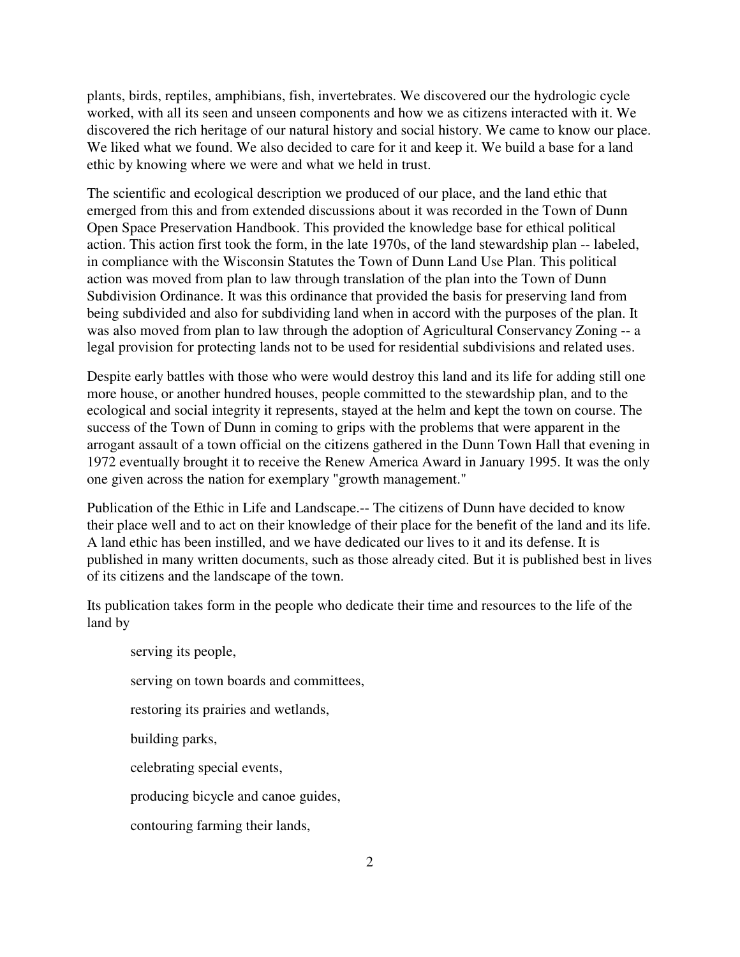plants, birds, reptiles, amphibians, fish, invertebrates. We discovered our the hydrologic cycle worked, with all its seen and unseen components and how we as citizens interacted with it. We discovered the rich heritage of our natural history and social history. We came to know our place. We liked what we found. We also decided to care for it and keep it. We build a base for a land ethic by knowing where we were and what we held in trust.

The scientific and ecological description we produced of our place, and the land ethic that emerged from this and from extended discussions about it was recorded in the Town of Dunn Open Space Preservation Handbook. This provided the knowledge base for ethical political action. This action first took the form, in the late 1970s, of the land stewardship plan -- labeled, in compliance with the Wisconsin Statutes the Town of Dunn Land Use Plan. This political action was moved from plan to law through translation of the plan into the Town of Dunn Subdivision Ordinance. It was this ordinance that provided the basis for preserving land from being subdivided and also for subdividing land when in accord with the purposes of the plan. It was also moved from plan to law through the adoption of Agricultural Conservancy Zoning -- a legal provision for protecting lands not to be used for residential subdivisions and related uses.

Despite early battles with those who were would destroy this land and its life for adding still one more house, or another hundred houses, people committed to the stewardship plan, and to the ecological and social integrity it represents, stayed at the helm and kept the town on course. The success of the Town of Dunn in coming to grips with the problems that were apparent in the arrogant assault of a town official on the citizens gathered in the Dunn Town Hall that evening in 1972 eventually brought it to receive the Renew America Award in January 1995. It was the only one given across the nation for exemplary "growth management."

Publication of the Ethic in Life and Landscape.-- The citizens of Dunn have decided to know their place well and to act on their knowledge of their place for the benefit of the land and its life. A land ethic has been instilled, and we have dedicated our lives to it and its defense. It is published in many written documents, such as those already cited. But it is published best in lives of its citizens and the landscape of the town.

Its publication takes form in the people who dedicate their time and resources to the life of the land by

serving its people, serving on town boards and committees, restoring its prairies and wetlands, building parks, celebrating special events, producing bicycle and canoe guides, contouring farming their lands,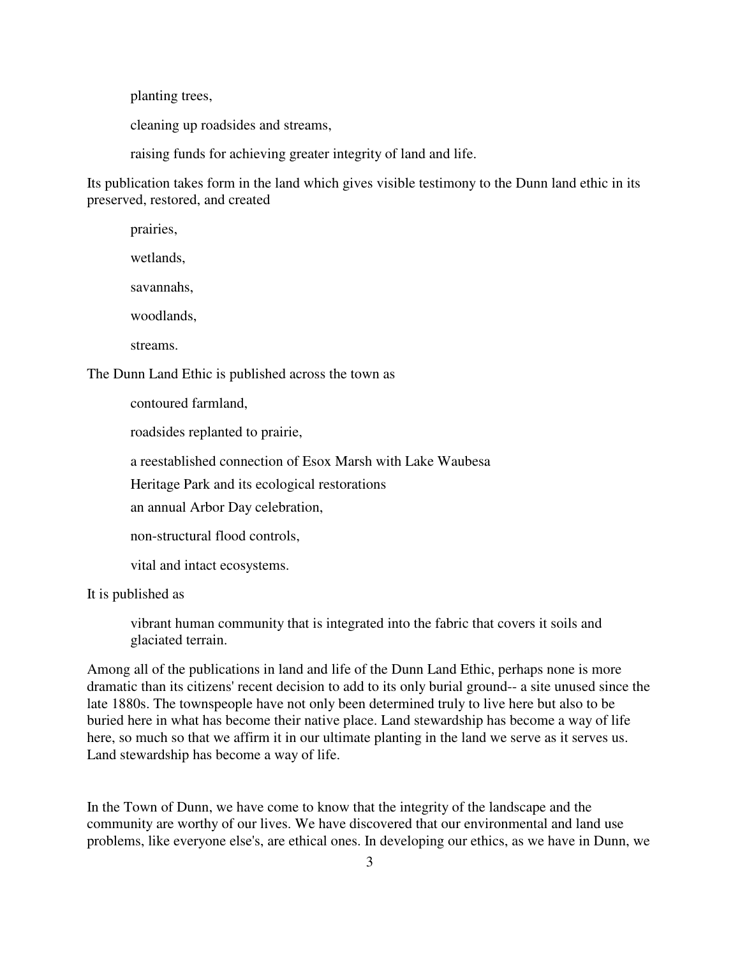planting trees,

cleaning up roadsides and streams,

raising funds for achieving greater integrity of land and life.

Its publication takes form in the land which gives visible testimony to the Dunn land ethic in its preserved, restored, and created

prairies, wetlands, savannahs, woodlands, streams. The Dunn Land Ethic is published across the town as contoured farmland,

roadsides replanted to prairie,

a reestablished connection of Esox Marsh with Lake Waubesa

Heritage Park and its ecological restorations

an annual Arbor Day celebration,

non-structural flood controls,

vital and intact ecosystems.

It is published as

vibrant human community that is integrated into the fabric that covers it soils and glaciated terrain.

Among all of the publications in land and life of the Dunn Land Ethic, perhaps none is more dramatic than its citizens' recent decision to add to its only burial ground-- a site unused since the late 1880s. The townspeople have not only been determined truly to live here but also to be buried here in what has become their native place. Land stewardship has become a way of life here, so much so that we affirm it in our ultimate planting in the land we serve as it serves us. Land stewardship has become a way of life.

In the Town of Dunn, we have come to know that the integrity of the landscape and the community are worthy of our lives. We have discovered that our environmental and land use problems, like everyone else's, are ethical ones. In developing our ethics, as we have in Dunn, we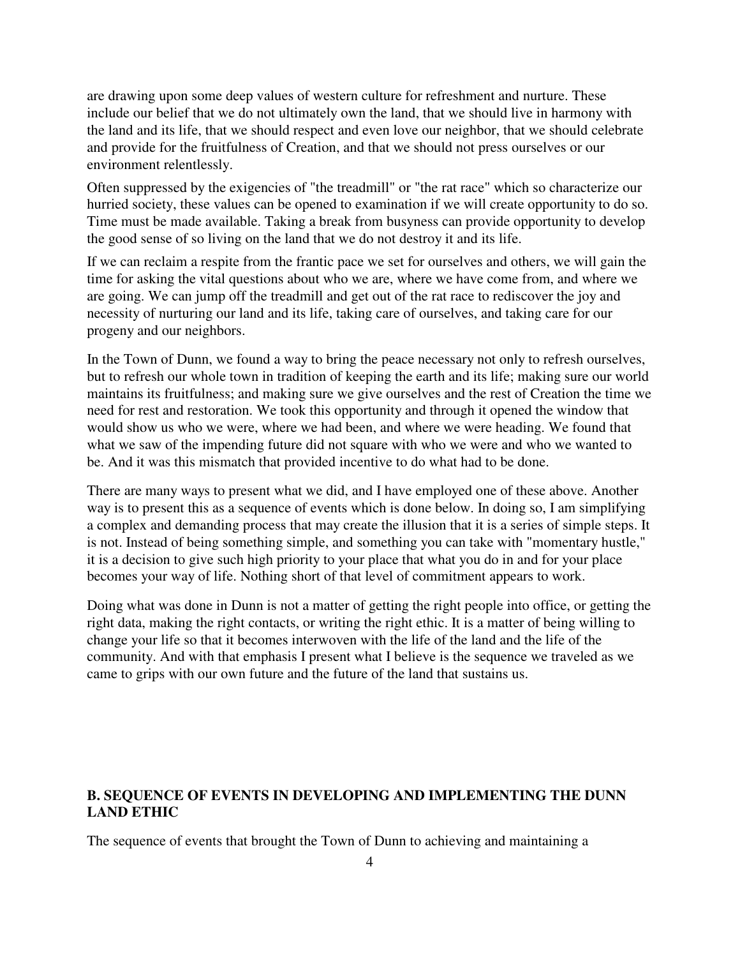are drawing upon some deep values of western culture for refreshment and nurture. These include our belief that we do not ultimately own the land, that we should live in harmony with the land and its life, that we should respect and even love our neighbor, that we should celebrate and provide for the fruitfulness of Creation, and that we should not press ourselves or our environment relentlessly.

Often suppressed by the exigencies of "the treadmill" or "the rat race" which so characterize our hurried society, these values can be opened to examination if we will create opportunity to do so. Time must be made available. Taking a break from busyness can provide opportunity to develop the good sense of so living on the land that we do not destroy it and its life.

If we can reclaim a respite from the frantic pace we set for ourselves and others, we will gain the time for asking the vital questions about who we are, where we have come from, and where we are going. We can jump off the treadmill and get out of the rat race to rediscover the joy and necessity of nurturing our land and its life, taking care of ourselves, and taking care for our progeny and our neighbors.

In the Town of Dunn, we found a way to bring the peace necessary not only to refresh ourselves, but to refresh our whole town in tradition of keeping the earth and its life; making sure our world maintains its fruitfulness; and making sure we give ourselves and the rest of Creation the time we need for rest and restoration. We took this opportunity and through it opened the window that would show us who we were, where we had been, and where we were heading. We found that what we saw of the impending future did not square with who we were and who we wanted to be. And it was this mismatch that provided incentive to do what had to be done.

There are many ways to present what we did, and I have employed one of these above. Another way is to present this as a sequence of events which is done below. In doing so, I am simplifying a complex and demanding process that may create the illusion that it is a series of simple steps. It is not. Instead of being something simple, and something you can take with "momentary hustle," it is a decision to give such high priority to your place that what you do in and for your place becomes your way of life. Nothing short of that level of commitment appears to work.

Doing what was done in Dunn is not a matter of getting the right people into office, or getting the right data, making the right contacts, or writing the right ethic. It is a matter of being willing to change your life so that it becomes interwoven with the life of the land and the life of the community. And with that emphasis I present what I believe is the sequence we traveled as we came to grips with our own future and the future of the land that sustains us.

# **B. SEQUENCE OF EVENTS IN DEVELOPING AND IMPLEMENTING THE DUNN LAND ETHIC**

The sequence of events that brought the Town of Dunn to achieving and maintaining a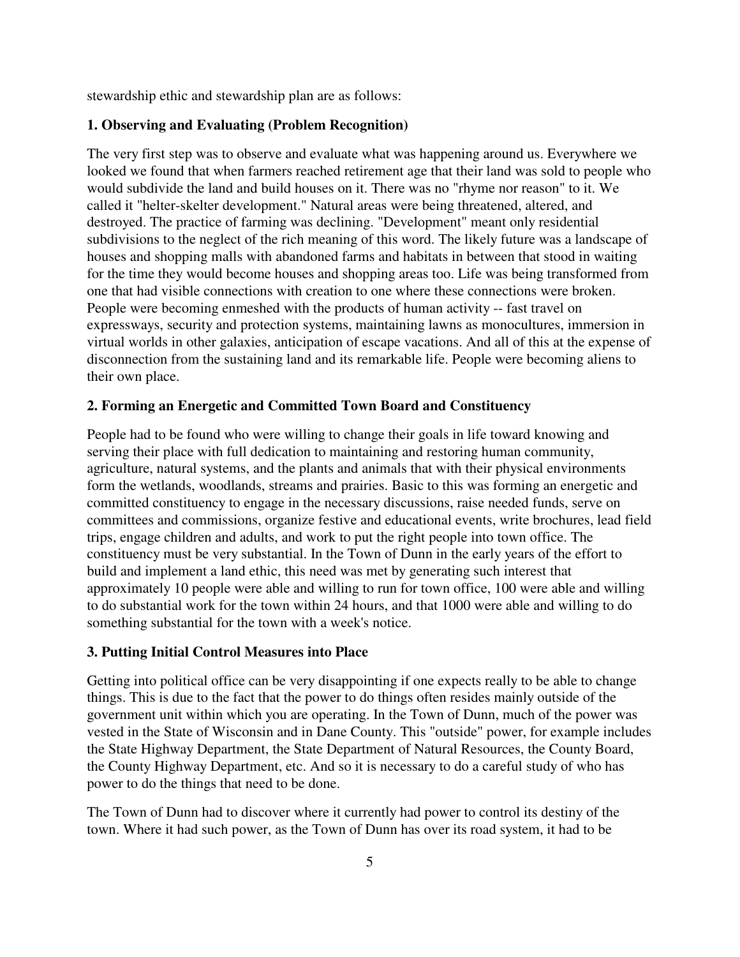stewardship ethic and stewardship plan are as follows:

## **1. Observing and Evaluating (Problem Recognition)**

The very first step was to observe and evaluate what was happening around us. Everywhere we looked we found that when farmers reached retirement age that their land was sold to people who would subdivide the land and build houses on it. There was no "rhyme nor reason" to it. We called it "helter-skelter development." Natural areas were being threatened, altered, and destroyed. The practice of farming was declining. "Development" meant only residential subdivisions to the neglect of the rich meaning of this word. The likely future was a landscape of houses and shopping malls with abandoned farms and habitats in between that stood in waiting for the time they would become houses and shopping areas too. Life was being transformed from one that had visible connections with creation to one where these connections were broken. People were becoming enmeshed with the products of human activity -- fast travel on expressways, security and protection systems, maintaining lawns as monocultures, immersion in virtual worlds in other galaxies, anticipation of escape vacations. And all of this at the expense of disconnection from the sustaining land and its remarkable life. People were becoming aliens to their own place.

#### **2. Forming an Energetic and Committed Town Board and Constituency**

People had to be found who were willing to change their goals in life toward knowing and serving their place with full dedication to maintaining and restoring human community, agriculture, natural systems, and the plants and animals that with their physical environments form the wetlands, woodlands, streams and prairies. Basic to this was forming an energetic and committed constituency to engage in the necessary discussions, raise needed funds, serve on committees and commissions, organize festive and educational events, write brochures, lead field trips, engage children and adults, and work to put the right people into town office. The constituency must be very substantial. In the Town of Dunn in the early years of the effort to build and implement a land ethic, this need was met by generating such interest that approximately 10 people were able and willing to run for town office, 100 were able and willing to do substantial work for the town within 24 hours, and that 1000 were able and willing to do something substantial for the town with a week's notice.

#### **3. Putting Initial Control Measures into Place**

Getting into political office can be very disappointing if one expects really to be able to change things. This is due to the fact that the power to do things often resides mainly outside of the government unit within which you are operating. In the Town of Dunn, much of the power was vested in the State of Wisconsin and in Dane County. This "outside" power, for example includes the State Highway Department, the State Department of Natural Resources, the County Board, the County Highway Department, etc. And so it is necessary to do a careful study of who has power to do the things that need to be done.

The Town of Dunn had to discover where it currently had power to control its destiny of the town. Where it had such power, as the Town of Dunn has over its road system, it had to be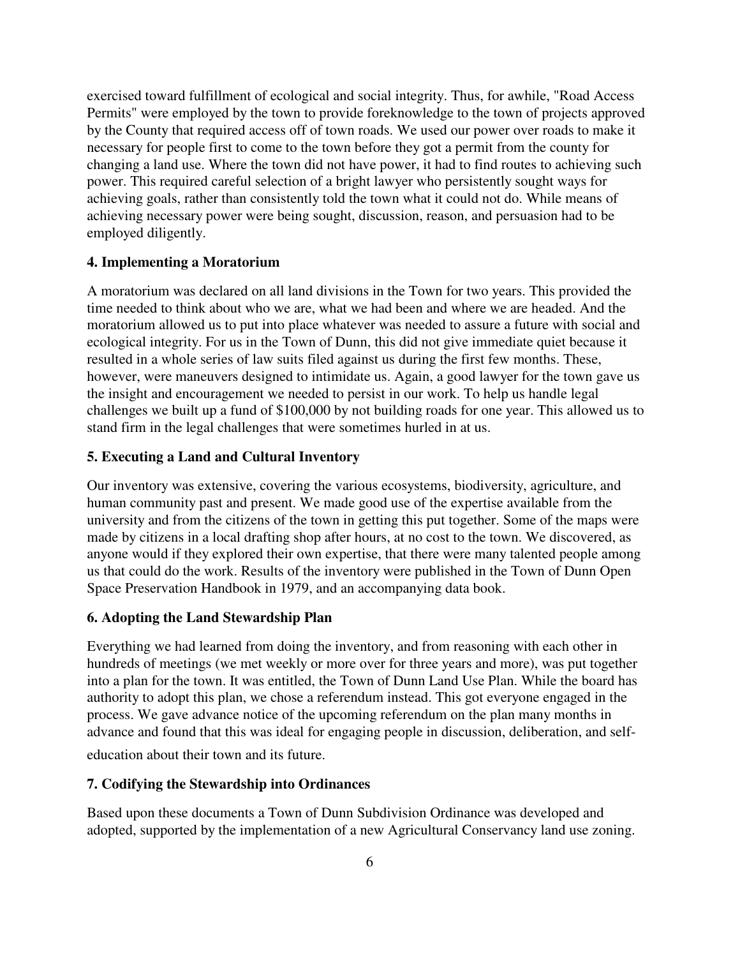exercised toward fulfillment of ecological and social integrity. Thus, for awhile, "Road Access Permits" were employed by the town to provide foreknowledge to the town of projects approved by the County that required access off of town roads. We used our power over roads to make it necessary for people first to come to the town before they got a permit from the county for changing a land use. Where the town did not have power, it had to find routes to achieving such power. This required careful selection of a bright lawyer who persistently sought ways for achieving goals, rather than consistently told the town what it could not do. While means of achieving necessary power were being sought, discussion, reason, and persuasion had to be employed diligently.

# **4. Implementing a Moratorium**

A moratorium was declared on all land divisions in the Town for two years. This provided the time needed to think about who we are, what we had been and where we are headed. And the moratorium allowed us to put into place whatever was needed to assure a future with social and ecological integrity. For us in the Town of Dunn, this did not give immediate quiet because it resulted in a whole series of law suits filed against us during the first few months. These, however, were maneuvers designed to intimidate us. Again, a good lawyer for the town gave us the insight and encouragement we needed to persist in our work. To help us handle legal challenges we built up a fund of \$100,000 by not building roads for one year. This allowed us to stand firm in the legal challenges that were sometimes hurled in at us.

# **5. Executing a Land and Cultural Inventory**

Our inventory was extensive, covering the various ecosystems, biodiversity, agriculture, and human community past and present. We made good use of the expertise available from the university and from the citizens of the town in getting this put together. Some of the maps were made by citizens in a local drafting shop after hours, at no cost to the town. We discovered, as anyone would if they explored their own expertise, that there were many talented people among us that could do the work. Results of the inventory were published in the Town of Dunn Open Space Preservation Handbook in 1979, and an accompanying data book.

## **6. Adopting the Land Stewardship Plan**

Everything we had learned from doing the inventory, and from reasoning with each other in hundreds of meetings (we met weekly or more over for three years and more), was put together into a plan for the town. It was entitled, the Town of Dunn Land Use Plan. While the board has authority to adopt this plan, we chose a referendum instead. This got everyone engaged in the process. We gave advance notice of the upcoming referendum on the plan many months in advance and found that this was ideal for engaging people in discussion, deliberation, and self-

education about their town and its future.

## **7. Codifying the Stewardship into Ordinances**

Based upon these documents a Town of Dunn Subdivision Ordinance was developed and adopted, supported by the implementation of a new Agricultural Conservancy land use zoning.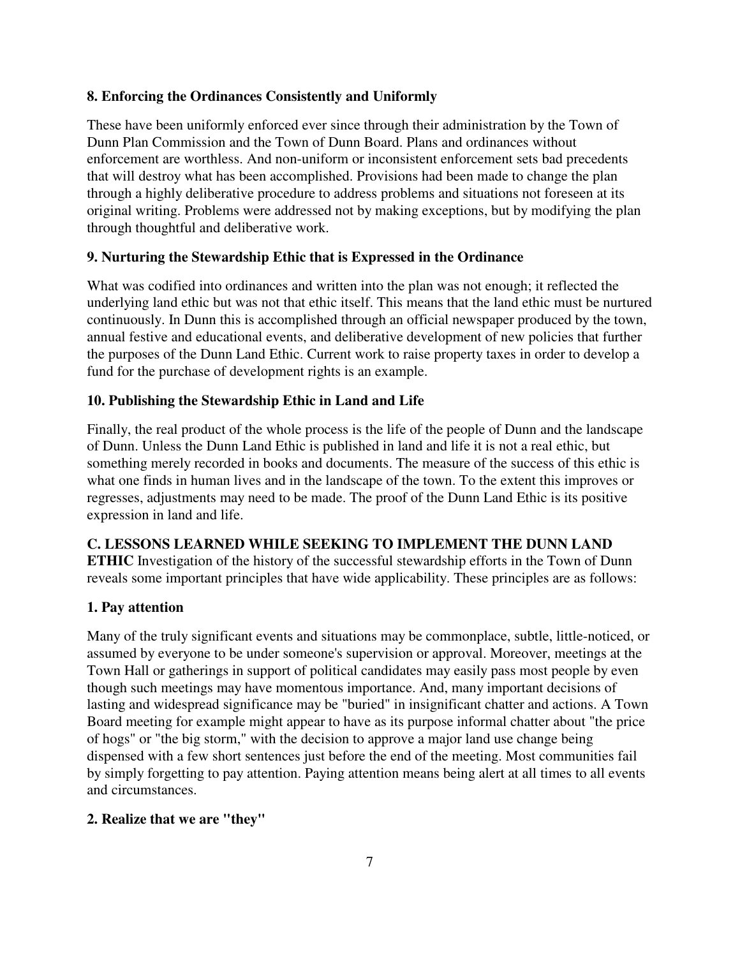# **8. Enforcing the Ordinances Consistently and Uniformly**

These have been uniformly enforced ever since through their administration by the Town of Dunn Plan Commission and the Town of Dunn Board. Plans and ordinances without enforcement are worthless. And non-uniform or inconsistent enforcement sets bad precedents that will destroy what has been accomplished. Provisions had been made to change the plan through a highly deliberative procedure to address problems and situations not foreseen at its original writing. Problems were addressed not by making exceptions, but by modifying the plan through thoughtful and deliberative work.

# **9. Nurturing the Stewardship Ethic that is Expressed in the Ordinance**

What was codified into ordinances and written into the plan was not enough; it reflected the underlying land ethic but was not that ethic itself. This means that the land ethic must be nurtured continuously. In Dunn this is accomplished through an official newspaper produced by the town, annual festive and educational events, and deliberative development of new policies that further the purposes of the Dunn Land Ethic. Current work to raise property taxes in order to develop a fund for the purchase of development rights is an example.

# **10. Publishing the Stewardship Ethic in Land and Life**

Finally, the real product of the whole process is the life of the people of Dunn and the landscape of Dunn. Unless the Dunn Land Ethic is published in land and life it is not a real ethic, but something merely recorded in books and documents. The measure of the success of this ethic is what one finds in human lives and in the landscape of the town. To the extent this improves or regresses, adjustments may need to be made. The proof of the Dunn Land Ethic is its positive expression in land and life.

# **C. LESSONS LEARNED WHILE SEEKING TO IMPLEMENT THE DUNN LAND**

**ETHIC** Investigation of the history of the successful stewardship efforts in the Town of Dunn reveals some important principles that have wide applicability. These principles are as follows:

## **1. Pay attention**

Many of the truly significant events and situations may be commonplace, subtle, little-noticed, or assumed by everyone to be under someone's supervision or approval. Moreover, meetings at the Town Hall or gatherings in support of political candidates may easily pass most people by even though such meetings may have momentous importance. And, many important decisions of lasting and widespread significance may be "buried" in insignificant chatter and actions. A Town Board meeting for example might appear to have as its purpose informal chatter about "the price of hogs" or "the big storm," with the decision to approve a major land use change being dispensed with a few short sentences just before the end of the meeting. Most communities fail by simply forgetting to pay attention. Paying attention means being alert at all times to all events and circumstances.

## **2. Realize that we are "they"**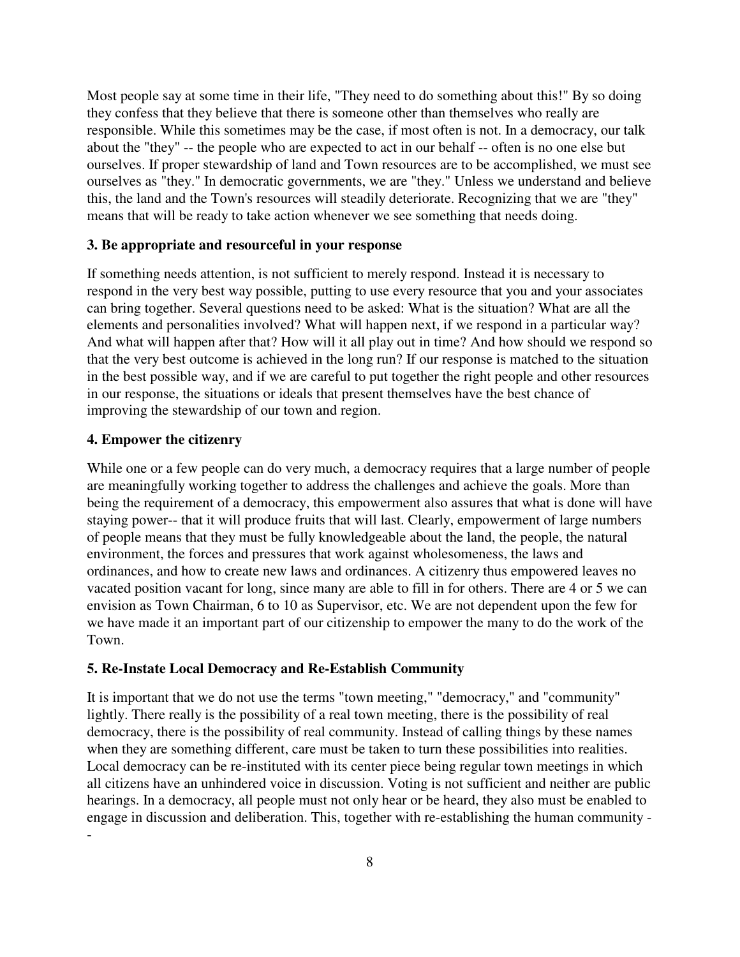Most people say at some time in their life, "They need to do something about this!" By so doing they confess that they believe that there is someone other than themselves who really are responsible. While this sometimes may be the case, if most often is not. In a democracy, our talk about the "they" -- the people who are expected to act in our behalf -- often is no one else but ourselves. If proper stewardship of land and Town resources are to be accomplished, we must see ourselves as "they." In democratic governments, we are "they." Unless we understand and believe this, the land and the Town's resources will steadily deteriorate. Recognizing that we are "they" means that will be ready to take action whenever we see something that needs doing.

#### **3. Be appropriate and resourceful in your response**

If something needs attention, is not sufficient to merely respond. Instead it is necessary to respond in the very best way possible, putting to use every resource that you and your associates can bring together. Several questions need to be asked: What is the situation? What are all the elements and personalities involved? What will happen next, if we respond in a particular way? And what will happen after that? How will it all play out in time? And how should we respond so that the very best outcome is achieved in the long run? If our response is matched to the situation in the best possible way, and if we are careful to put together the right people and other resources in our response, the situations or ideals that present themselves have the best chance of improving the stewardship of our town and region.

#### **4. Empower the citizenry**

While one or a few people can do very much, a democracy requires that a large number of people are meaningfully working together to address the challenges and achieve the goals. More than being the requirement of a democracy, this empowerment also assures that what is done will have staying power-- that it will produce fruits that will last. Clearly, empowerment of large numbers of people means that they must be fully knowledgeable about the land, the people, the natural environment, the forces and pressures that work against wholesomeness, the laws and ordinances, and how to create new laws and ordinances. A citizenry thus empowered leaves no vacated position vacant for long, since many are able to fill in for others. There are 4 or 5 we can envision as Town Chairman, 6 to 10 as Supervisor, etc. We are not dependent upon the few for we have made it an important part of our citizenship to empower the many to do the work of the Town.

#### **5. Re-Instate Local Democracy and Re-Establish Community**

It is important that we do not use the terms "town meeting," "democracy," and "community" lightly. There really is the possibility of a real town meeting, there is the possibility of real democracy, there is the possibility of real community. Instead of calling things by these names when they are something different, care must be taken to turn these possibilities into realities. Local democracy can be re-instituted with its center piece being regular town meetings in which all citizens have an unhindered voice in discussion. Voting is not sufficient and neither are public hearings. In a democracy, all people must not only hear or be heard, they also must be enabled to engage in discussion and deliberation. This, together with re-establishing the human community - -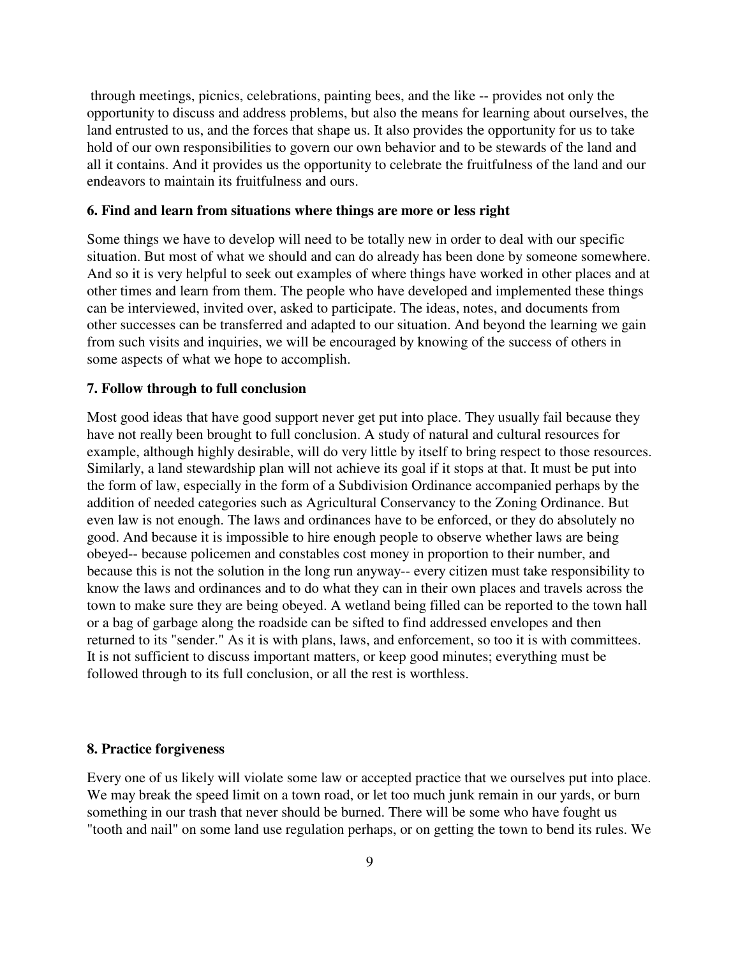through meetings, picnics, celebrations, painting bees, and the like -- provides not only the opportunity to discuss and address problems, but also the means for learning about ourselves, the land entrusted to us, and the forces that shape us. It also provides the opportunity for us to take hold of our own responsibilities to govern our own behavior and to be stewards of the land and all it contains. And it provides us the opportunity to celebrate the fruitfulness of the land and our endeavors to maintain its fruitfulness and ours.

#### **6. Find and learn from situations where things are more or less right**

Some things we have to develop will need to be totally new in order to deal with our specific situation. But most of what we should and can do already has been done by someone somewhere. And so it is very helpful to seek out examples of where things have worked in other places and at other times and learn from them. The people who have developed and implemented these things can be interviewed, invited over, asked to participate. The ideas, notes, and documents from other successes can be transferred and adapted to our situation. And beyond the learning we gain from such visits and inquiries, we will be encouraged by knowing of the success of others in some aspects of what we hope to accomplish.

#### **7. Follow through to full conclusion**

Most good ideas that have good support never get put into place. They usually fail because they have not really been brought to full conclusion. A study of natural and cultural resources for example, although highly desirable, will do very little by itself to bring respect to those resources. Similarly, a land stewardship plan will not achieve its goal if it stops at that. It must be put into the form of law, especially in the form of a Subdivision Ordinance accompanied perhaps by the addition of needed categories such as Agricultural Conservancy to the Zoning Ordinance. But even law is not enough. The laws and ordinances have to be enforced, or they do absolutely no good. And because it is impossible to hire enough people to observe whether laws are being obeyed-- because policemen and constables cost money in proportion to their number, and because this is not the solution in the long run anyway-- every citizen must take responsibility to know the laws and ordinances and to do what they can in their own places and travels across the town to make sure they are being obeyed. A wetland being filled can be reported to the town hall or a bag of garbage along the roadside can be sifted to find addressed envelopes and then returned to its "sender." As it is with plans, laws, and enforcement, so too it is with committees. It is not sufficient to discuss important matters, or keep good minutes; everything must be followed through to its full conclusion, or all the rest is worthless.

#### **8. Practice forgiveness**

Every one of us likely will violate some law or accepted practice that we ourselves put into place. We may break the speed limit on a town road, or let too much junk remain in our yards, or burn something in our trash that never should be burned. There will be some who have fought us "tooth and nail" on some land use regulation perhaps, or on getting the town to bend its rules. We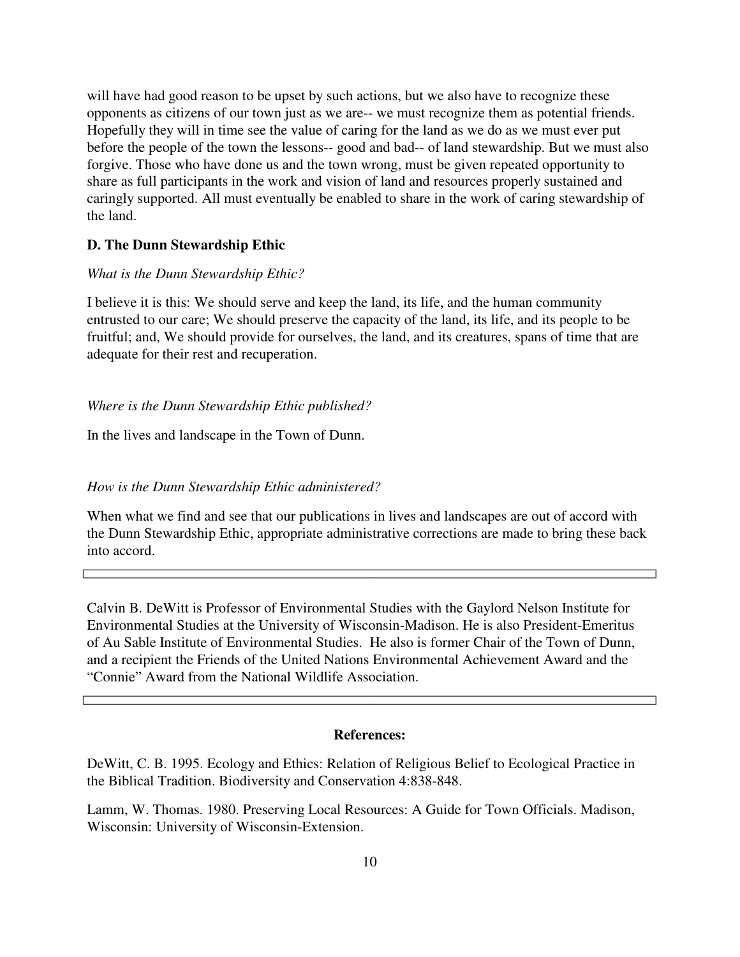will have had good reason to be upset by such actions, but we also have to recognize these opponents as citizens of our town just as we are-- we must recognize them as potential friends. Hopefully they will in time see the value of caring for the land as we do as we must ever put before the people of the town the lessons-- good and bad-- of land stewardship. But we must also forgive. Those who have done us and the town wrong, must be given repeated opportunity to share as full participants in the work and vision of land and resources properly sustained and caringly supported. All must eventually be enabled to share in the work of caring stewardship of the land.

#### **D. The Dunn Stewardship Ethic**

#### *What is the Dunn Stewardship Ethic?*

I believe it is this: We should serve and keep the land, its life, and the human community entrusted to our care; We should preserve the capacity of the land, its life, and its people to be fruitful; and, We should provide for ourselves, the land, and its creatures, spans of time that are adequate for their rest and recuperation.

#### *Where is the Dunn Stewardship Ethic published?*

In the lives and landscape in the Town of Dunn.

## *How is the Dunn Stewardship Ethic administered?*

When what we find and see that our publications in lives and landscapes are out of accord with the Dunn Stewardship Ethic, appropriate administrative corrections are made to bring these back into accord.

Calvin B. DeWitt is Professor of Environmental Studies with the Gaylord Nelson Institute for Environmental Studies at the University of Wisconsin-Madison. He is also President-Emeritus of Au Sable Institute of Environmental Studies. He also is former Chair of the Town of Dunn, and a recipient the Friends of the United Nations Environmental Achievement Award and the "Connie" Award from the National Wildlife Association.

#### **References:**

DeWitt, C. B. 1995. Ecology and Ethics: Relation of Religious Belief to Ecological Practice in the Biblical Tradition. Biodiversity and Conservation 4:838-848.

Lamm, W. Thomas. 1980. Preserving Local Resources: A Guide for Town Officials. Madison, Wisconsin: University of Wisconsin-Extension.